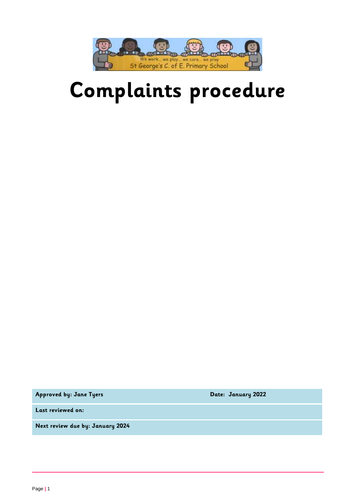

# **Complaints procedure**

**Approved by: Jane Tyers Date: January 2022**

**Last reviewed on:**

**Next review due by: January 2024**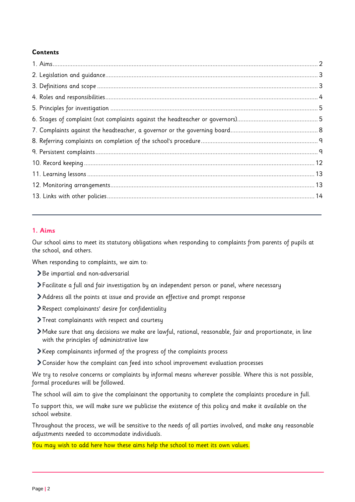# **Contents**

# <span id="page-1-0"></span>**1. Aims**

Our school aims to meet its statutory obligations when responding to complaints from parents of pupils at the school, and others.

When responding to complaints, we aim to:

- Be impartial and non-adversarial
- Facilitate a full and fair investigation by an independent person or panel, where necessary
- Address all the points at issue and provide an effective and prompt response
- Respect complainants' desire for confidentiality
- Treat complainants with respect and courtesy
- Make sure that any decisions we make are lawful, rational, reasonable, fair and proportionate, in line with the principles of administrative law
- Keep complainants informed of the progress of the complaints process
- Consider how the complaint can feed into school improvement evaluation processes

We try to resolve concerns or complaints by informal means wherever possible. Where this is not possible, formal procedures will be followed.

The school will aim to give the complainant the opportunity to complete the complaints procedure in full.

To support this, we will make sure we publicise the existence of this policy and make it available on the school website.

Throughout the process, we will be sensitive to the needs of all parties involved, and make any reasonable adjustments needed to accommodate individuals.

You may wish to add here how these aims help the school to meet its own values.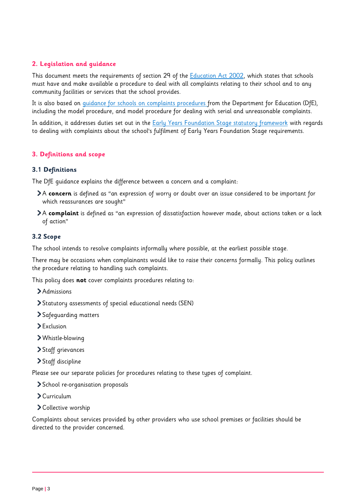# <span id="page-2-0"></span>**2. Legislation and guidance**

This document meets the requirements of section 29 of the **Education Act 2002**, which states that schools must have and make available a procedure to deal with all complaints relating to their school and to any community facilities or services that the school provides.

It is also based on [guidance for schools on complaints procedures](https://www.gov.uk/government/publications/school-complaints-procedures) from the Department for Education (DfE), including the model procedure, and model procedure for dealing with serial and unreasonable complaints.

In addition, it addresses duties set out in the [Early Years Foundation Stage statutory framework](https://www.gov.uk/government/publications/early-years-foundation-stage-framework--2) with regards to dealing with complaints about the school's fulfilment of Early Years Foundation Stage requirements.

## <span id="page-2-1"></span>**3. Definitions and scope**

#### **3.1 Definitions**

The DfE guidance explains the difference between a concern and a complaint:

- A **concern** is defined as "an expression of worry or doubt over an issue considered to be important for which reassurances are sought"
- A **complaint** is defined as "an expression of dissatisfaction however made, about actions taken or a lack of action"

## **3.2 Scope**

The school intends to resolve complaints informally where possible, at the earliest possible stage.

There may be occasions when complainants would like to raise their concerns formally. This policy outlines the procedure relating to handling such complaints.

This policy does **not** cover complaints procedures relating to:

- > Admissions
- Statutory assessments of special educational needs (SEN)
- Safeguarding matters
- > Exclusion
- Whistle-blowing
- Staff grievances
- Staff discipline

Please see our separate policies for procedures relating to these types of complaint.

- > School re-organisation proposals
- Curriculum
- Collective worship

<span id="page-2-2"></span>Complaints about services provided by other providers who use school premises or facilities should be directed to the provider concerned.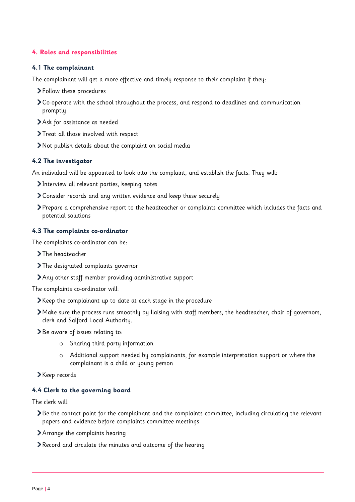# **4. Roles and responsibilities**

#### **4.1 The complainant**

The complainant will get a more effective and timely response to their complaint if they:

- Follow these procedures
- Co-operate with the school throughout the process, and respond to deadlines and communication promptly
- Ask for assistance as needed
- > Treat all those involved with respect
- Not publish details about the complaint on social media

## **4.2 The investigator**

An individual will be appointed to look into the complaint, and establish the facts. They will:

- Interview all relevant parties, keeping notes
- Consider records and any written evidence and keep these securely
- Prepare a comprehensive report to the headteacher or complaints committee which includes the facts and potential solutions

#### **4.3 The complaints co-ordinator**

The complaints co-ordinator can be:

- > The headteacher
- > The designated complaints governor
- Any other staff member providing administrative support

The complaints co-ordinator will:

- Keep the complainant up to date at each stage in the procedure
- Make sure the process runs smoothly by liaising with staff members, the headteacher, chair of governors, clerk and Salford Local Authority.
- > Be aware of issues relating to:
	- o Sharing third party information
	- o Additional support needed by complainants, for example interpretation support or where the complainant is a child or young person
- Keep records

## **4.4 Clerk to the governing board**

The clerk will:

- Be the contact point for the complainant and the complaints committee, including circulating the relevant papers and evidence before complaints committee meetings
- Arrange the complaints hearing
- Record and circulate the minutes and outcome of the hearing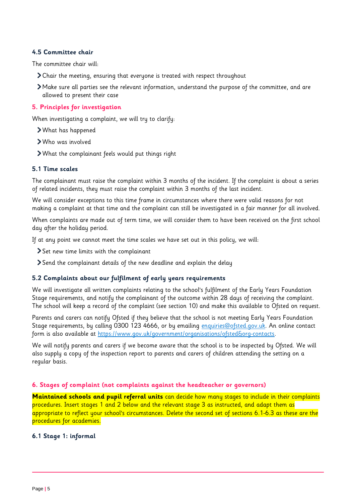#### **4.5 Committee chair**

The committee chair will:

- Chair the meeting, ensuring that everyone is treated with respect throughout
- Make sure all parties see the relevant information, understand the purpose of the committee, and are allowed to present their case

## <span id="page-4-0"></span>**5. Principles for investigation**

When investigating a complaint, we will try to clarify:

- What has happened
- Who was involved
- What the complainant feels would put things right

#### **5.1 Time scales**

The complainant must raise the complaint within 3 months of the incident. If the complaint is about a series of related incidents, they must raise the complaint within 3 months of the last incident.

We will consider exceptions to this time frame in circumstances where there were valid reasons for not making a complaint at that time and the complaint can still be investigated in a fair manner for all involved.

When complaints are made out of term time, we will consider them to have been received on the first school day after the holiday period.

If at any point we cannot meet the time scales we have set out in this policy, we will:

- Set new time limits with the complainant
- Send the complainant details of the new deadline and explain the delay

## **5.2 Complaints about our fulfilment of early years requirements**

We will investigate all written complaints relating to the school's fulfilment of the Early Years Foundation Stage requirements, and notify the complainant of the outcome within 28 days of receiving the complaint. The school will keep a record of the complaint (see section 10) and make this available to Ofsted on request.

Parents and carers can notify Ofsted if they believe that the school is not meeting Early Years Foundation Stage requirements, by calling 0300 123 4666, or by emailing [enquiries@ofsted.gov.uk.](mailto:enquiries@ofsted.gov.uk) An online contact form is also available at https://www.gov.uk/government/organisations/ofsted&org-contacts.

We will notify parents and carers if we become aware that the school is to be inspected by Ofsted. We will also supply a copy of the inspection report to parents and carers of children attending the setting on a regular basis.

#### <span id="page-4-1"></span>**6. Stages of complaint (not complaints against the headteacher or governors)**

**Maintained schools and pupil referral units** can decide how many stages to include in their complaints procedures. Insert stages 1 and 2 below and the relevant stage 3 as instructed, and adapt them as appropriate to reflect your school's circumstances. Delete the second set of sections 6.1-6.3 as these are the procedures for academies.

## **6.1 Stage 1: informal**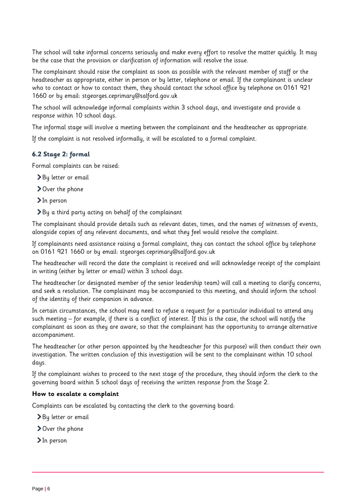The school will take informal concerns seriously and make every effort to resolve the matter quickly. It may be the case that the provision or clarification of information will resolve the issue.

The complainant should raise the complaint as soon as possible with the relevant member of staff or the headteacher as appropriate, either in person or by letter, telephone or email. If the complainant is unclear who to contact or how to contact them, they should contact the school office by telephone on 0161 921 1660 or by email: stgeorges.ceprimary@salford.gov.uk

The school will acknowledge informal complaints within 3 school days, and investigate and provide a response within 10 school days.

The informal stage will involve a meeting between the complainant and the headteacher as appropriate.

If the complaint is not resolved informally, it will be escalated to a formal complaint.

## **6.2 Stage 2: formal**

Formal complaints can be raised:

- By letter or email
- Over the phone
- In person

By a third party acting on behalf of the complainant

The complainant should provide details such as relevant dates, times, and the names of witnesses of events, alongside copies of any relevant documents, and what they feel would resolve the complaint.

If complainants need assistance raising a formal complaint, they can contact the school office by telephone on 0161 921 1660 or by email: stgeorges.ceprimary@salford.gov.uk

The headteacher will record the date the complaint is received and will acknowledge receipt of the complaint in writing (either by letter or email) within 3 school days.

The headteacher (or designated member of the senior leadership team) will call a meeting to clarify concerns, and seek a resolution. The complainant may be accompanied to this meeting, and should inform the school of the identity of their companion in advance.

In certain circumstances, the school may need to refuse a request for a particular individual to attend any such meeting – for example, if there is a conflict of interest. If this is the case, the school will notify the complainant as soon as they are aware, so that the complainant has the opportunity to arrange alternative accompaniment.

The headteacher (or other person appointed by the headteacher for this purpose) will then conduct their own investigation. The written conclusion of this investigation will be sent to the complainant within 10 school days.

If the complainant wishes to proceed to the next stage of the procedure, they should inform the clerk to the governing board within 5 school days of receiving the written response from the Stage 2.

#### **How to escalate a complaint**

Complaints can be escalated by contacting the clerk to the governing board:

- By letter or email
- Over the phone
- > In person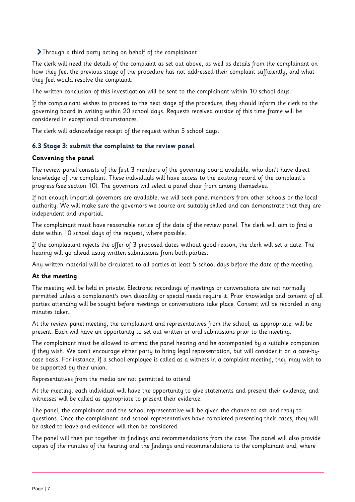Through a third party acting on behalf of the complainant

The clerk will need the details of the complaint as set out above, as well as details from the complainant on how they feel the previous stage of the procedure has not addressed their complaint sufficiently, and what they feel would resolve the complaint.

The written conclusion of this investigation will be sent to the complainant within 10 school days.

If the complainant wishes to proceed to the next stage of the procedure, they should inform the clerk to the governing board in writing within 20 school days. Requests received outside of this time frame will be considered in exceptional circumstances.

The clerk will acknowledge receipt of the request within 5 school days.

## **6.3 Stage 3: submit the complaint to the review panel**

#### **Convening the panel**

The review panel consists of the first 3 members of the governing board available, who don't have direct knowledge of the complaint. These individuals will have access to the existing record of the complaint's progress (see section 10). The governors will select a panel chair from among themselves.

If not enough impartial governors are available, we will seek panel members from other schools or the local authority. We will make sure the governors we source are suitably skilled and can demonstrate that they are independent and impartial.

The complainant must have reasonable notice of the date of the review panel. The clerk will aim to find a date within 10 school days of the request, where possible.

If the complainant rejects the offer of 3 proposed dates without good reason, the clerk will set a date. The hearing will go ahead using written submissions from both parties.

Any written material will be circulated to all parties at least 5 school days before the date of the meeting.

## **At the meeting**

The meeting will be held in private. Electronic recordings of meetings or conversations are not normally permitted unless a complainant's own disability or special needs require it. Prior knowledge and consent of all parties attending will be sought before meetings or conversations take place. Consent will be recorded in any minutes taken.

At the review panel meeting, the complainant and representatives from the school, as appropriate, will be present. Each will have an opportunity to set out written or oral submissions prior to the meeting.

The complainant must be allowed to attend the panel hearing and be accompanied by a suitable companion if they wish. We don't encourage either party to bring legal representation, but will consider it on a case-bycase basis. For instance, if a school employee is called as a witness in a complaint meeting, they may wish to be supported by their union.

Representatives from the media are not permitted to attend.

At the meeting, each individual will have the opportunity to give statements and present their evidence, and witnesses will be called as appropriate to present their evidence.

The panel, the complainant and the school representative will be given the chance to ask and reply to questions. Once the complainant and school representatives have completed presenting their cases, they will be asked to leave and evidence will then be considered.

The panel will then put together its findings and recommendations from the case. The panel will also provide copies of the minutes of the hearing and the findings and recommendations to the complainant and, where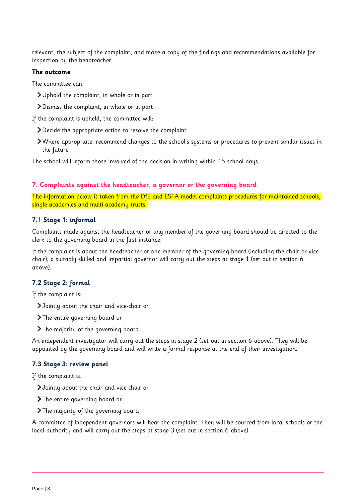relevant, the subject of the complaint, and make a copy of the findings and recommendations available for inspection by the headteacher.

#### **The outcome**

The committee can:

- Uphold the complaint, in whole or in part
- Dismiss the complaint, in whole or in part

If the complaint is upheld, the committee will:

- Decide the appropriate action to resolve the complaint
- Where appropriate, recommend changes to the school's systems or procedures to prevent similar issues in the future

The school will inform those involved of the decision in writing within 15 school days.

#### <span id="page-7-0"></span>**7. Complaints against the headteacher, a governor or the governing board**

The information below is taken from the DfE and ESFA model complaints procedures for maintained schools, single academies and multi-academy trusts.

#### **7.1 Stage 1: informal**

Complaints made against the headteacher or any member of the governing board should be directed to the clerk to the governing board in the first instance.

If the complaint is about the headteacher or one member of the governing board (including the chair or vicechair), a suitably skilled and impartial governor will carry out the steps at stage 1 (set out in section 6 above).

## **7.2 Stage 2: formal**

If the complaint is:

- Jointly about the chair and vice-chair or
- The entire governing board or
- The majority of the governing board

An independent investigator will carry out the steps in stage 2 (set out in section 6 above). They will be appointed by the governing board and will write a formal response at the end of their investigation.

## **7.3 Stage 3: review panel**

If the complaint is:

- Jointly about the chair and vice-chair or
- The entire governing board or
- The majority of the governing board

A committee of independent governors will hear the complaint. They will be sourced from local schools or the local authority and will carry out the steps at stage 3 (set out in section 6 above).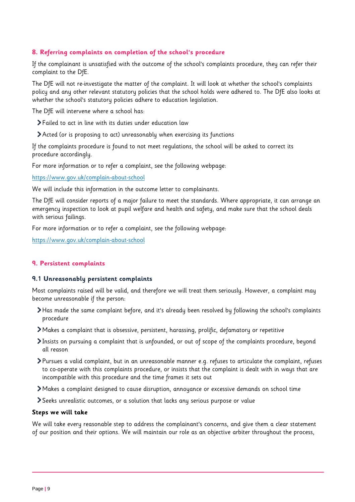# <span id="page-8-0"></span>**8. Referring complaints on completion of the school's procedure**

If the complainant is unsatisfied with the outcome of the school's complaints procedure, they can refer their complaint to the DfE.

The DfE will not re-investigate the matter of the complaint. It will look at whether the school's complaints policy and any other relevant statutory policies that the school holds were adhered to. The DfE also looks at whether the school's statutory policies adhere to education legislation.

The DfE will intervene where a school has:

- Failed to act in line with its duties under education law
- Acted (or is proposing to act) unreasonably when exercising its functions

If the complaints procedure is found to not meet regulations, the school will be asked to correct its procedure accordingly.

For more information or to refer a complaint, see the following webpage:

<https://www.gov.uk/complain-about-school>

We will include this information in the outcome letter to complainants.

The DfE will consider reports of a major failure to meet the standards. Where appropriate, it can arrange an emergency inspection to look at pupil welfare and health and safety, and make sure that the school deals with serious failings.

For more information or to refer a complaint, see the following webpage:

<https://www.gov.uk/complain-about-school>

#### <span id="page-8-1"></span>**9. Persistent complaints**

#### **9.1 Unreasonably persistent complaints**

Most complaints raised will be valid, and therefore we will treat them seriously. However, a complaint may become unreasonable if the person:

- Has made the same complaint before, and it's already been resolved by following the school's complaints procedure
- Makes a complaint that is obsessive, persistent, harassing, prolific, defamatory or repetitive
- Insists on pursuing a complaint that is unfounded, or out of scope of the complaints procedure, beyond all reason
- Pursues a valid complaint, but in an unreasonable manner e.g. refuses to articulate the complaint, refuses to co-operate with this complaints procedure, or insists that the complaint is dealt with in ways that are incompatible with this procedure and the time frames it sets out
- Makes a complaint designed to cause disruption, annoyance or excessive demands on school time
- Seeks unrealistic outcomes, or a solution that lacks any serious purpose or value

#### **Steps we will take**

We will take every reasonable step to address the complainant's concerns, and give them a clear statement of our position and their options. We will maintain our role as an objective arbiter throughout the process,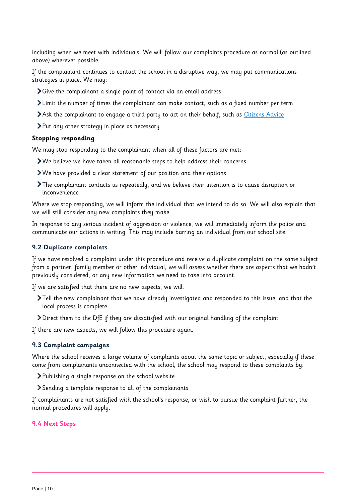including when we meet with individuals. We will follow our complaints procedure as normal (as outlined above) wherever possible.

If the complainant continues to contact the school in a disruptive way, we may put communications strategies in place. We may:

- Give the complainant a single point of contact via an email address
- Limit the number of times the complainant can make contact, such as a fixed number per term
- Ask the complainant to engage a third party to act on their behalf, such as [Citizens Advice](https://www.citizensadvice.org.uk/)
- Put any other strategy in place as necessary

#### **Stopping responding**

We may stop responding to the complainant when all of these factors are met:

- We believe we have taken all reasonable steps to help address their concerns
- We have provided a clear statement of our position and their options
- The complainant contacts us repeatedly, and we believe their intention is to cause disruption or inconvenience

Where we stop responding, we will inform the individual that we intend to do so. We will also explain that we will still consider any new complaints they make.

In response to any serious incident of aggression or violence, we will immediately inform the police and communicate our actions in writing. This may include barring an individual from our school site.

#### **9.2 Duplicate complaints**

If we have resolved a complaint under this procedure and receive a duplicate complaint on the same subject from a partner, family member or other individual, we will assess whether there are aspects that we hadn't previously considered, or any new information we need to take into account.

If we are satisfied that there are no new aspects, we will:

- Tell the new complainant that we have already investigated and responded to this issue, and that the local process is complete
- Direct them to the DfE if they are dissatisfied with our original handling of the complaint

If there are new aspects, we will follow this procedure again.

#### **9.3 Complaint campaigns**

Where the school receives a large volume of complaints about the same topic or subject, especially if these come from complainants unconnected with the school, the school may respond to these complaints by:

- Publishing a single response on the school website
- Sending a template response to all of the complainants

If complainants are not satisfied with the school's response, or wish to pursue the complaint further, the normal procedures will apply.

#### **9.4 Next Steps**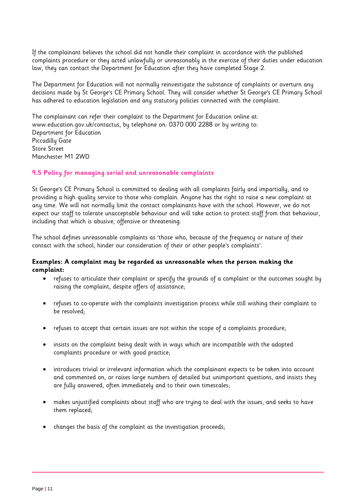If the complainant believes the school did not handle their complaint in accordance with the published complaints procedure or they acted unlawfully or unreasonably in the exercise of their duties under education law, they can contact the Department for Education after they have completed Stage 2.

The Department for Education will not normally reinvestigate the substance of complaints or overturn any decisions made by St George's CE Primary School. They will consider whether St George's CE Primary School has adhered to education legislation and any statutory policies connected with the complaint.

The complainant can refer their complaint to the Department for Education online at: www.education.gov.uk/contactus, by telephone on: 0370 000 2288 or by writing to: Department for Education Piccadilly Gate Store Street Manchester M1 2WD

# **9.5 Policy for managing serial and unreasonable complaints**

St George's CE Primary School is committed to dealing with all complaints fairly and impartially, and to providing a high quality service to those who complain. Anyone has the right to raise a new complaint at any time. We will not normally limit the contact complainants have with the school. However, we do not expect our staff to tolerate unacceptable behaviour and will take action to protect staff from that behaviour, including that which is abusive, offensive or threatening.

The school defines unreasonable complaints as 'those who, because of the frequency or nature of their contact with the school, hinder our consideration of their or other people's complaints'.

## **Examples: A complaint may be regarded as unreasonable when the person making the complaint:**

- refuses to articulate their complaint or specify the grounds of a complaint or the outcomes sought by raising the complaint, despite offers of assistance;
- refuses to co-operate with the complaints investigation process while still wishing their complaint to be resolved;
- refuses to accept that certain issues are not within the scope of a complaints procedure;
- insists on the complaint being dealt with in ways which are incompatible with the adopted complaints procedure or with good practice;
- introduces trivial or irrelevant information which the complainant expects to be taken into account and commented on, or raises large numbers of detailed but unimportant questions, and insists they are fully answered, often immediately and to their own timescales;
- makes unjustified complaints about staff who are trying to deal with the issues, and seeks to have them replaced;
- changes the basis of the complaint as the investigation proceeds;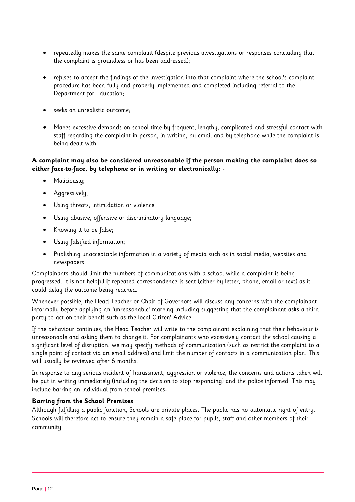- repeatedly makes the same complaint (despite previous investigations or responses concluding that the complaint is groundless or has been addressed);
- refuses to accept the findings of the investigation into that complaint where the school's complaint procedure has been fully and properly implemented and completed including referral to the Department for Education;
- seeks an unrealistic outcome;
- Makes excessive demands on school time by frequent, lengthy, complicated and stressful contact with staff regarding the complaint in person, in writing, by email and by telephone while the complaint is being dealt with.

# <span id="page-11-0"></span>**A complaint may also be considered unreasonable if the person making the complaint does so either face-to-face, by telephone or in writing or electronically: -**

- Maliciouslu:
- Aggressively;
- Using threats, intimidation or violence;
- Using abusive, offensive or discriminatory language;
- Knowing it to be false;
- Using falsified information;
- Publishing unacceptable information in a variety of media such as in social media, websites and newspapers.

Complainants should limit the numbers of communications with a school while a complaint is being progressed. It is not helpful if repeated correspondence is sent (either by letter, phone, email or text) as it could delay the outcome being reached.

Whenever possible, the Head Teacher or Chair of Governors will discuss any concerns with the complainant informally before applying an 'unreasonable' marking including suggesting that the complainant asks a third party to act on their behalf such as the local Citizen' Advice.

If the behaviour continues, the Head Teacher will write to the complainant explaining that their behaviour is unreasonable and asking them to change it. For complainants who excessively contact the school causing a significant level of disruption, we may specify methods of communication (such as restrict the complaint to a single point of contact via an email address) and limit the number of contacts in a communication plan. This will usually be reviewed after 6 months.

In response to any serious incident of harassment, aggression or violence, the concerns and actions taken will be put in writing immediately (including the decision to stop responding) and the police informed. This may include barring an individual from school premises**.**

## **Barring from the School Premises**

Although fulfilling a public function, Schools are private places. The public has no automatic right of entry. Schools will therefore act to ensure they remain a safe place for pupils, staff and other members of their community.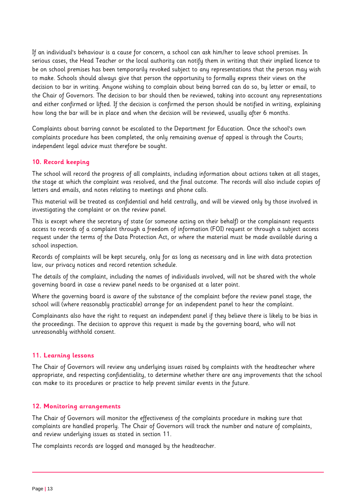If an individual's behaviour is a cause for concern, a school can ask him/her to leave school premises. In serious cases, the Head Teacher or the local authority can notify them in writing that their implied licence to be on school premises has been temporarily revoked subject to any representations that the person may wish to make. Schools should always give that person the opportunity to formally express their views on the decision to bar in writing. Anyone wishing to complain about being barred can do so, by letter or email, to the Chair of Governors. The decision to bar should then be reviewed, taking into account any representations and either confirmed or lifted. If the decision is confirmed the person should be notified in writing, explaining how long the bar will be in place and when the decision will be reviewed, usually after 6 months.

Complaints about barring cannot be escalated to the Department for Education. Once the school's own complaints procedure has been completed, the only remaining avenue of appeal is through the Courts; independent legal advice must therefore be sought.

## **10. Record keeping**

The school will record the progress of all complaints, including information about actions taken at all stages, the stage at which the complaint was resolved, and the final outcome. The records will also include copies of letters and emails, and notes relating to meetings and phone calls.

This material will be treated as confidential and held centrally, and will be viewed only by those involved in investigating the complaint or on the review panel.

This is except where the secretary of state (or someone acting on their behalf) or the complainant requests access to records of a complaint through a freedom of information (FOI) request or through a subject access request under the terms of the Data Protection Act, or where the material must be made available during a school inspection.

Records of complaints will be kept securely, only for as long as necessary and in line with data protection law, our privacy notices and record retention schedule.

The details of the complaint, including the names of individuals involved, will not be shared with the whole governing board in case a review panel needs to be organised at a later point.

Where the governing board is aware of the substance of the complaint before the review panel stage, the school will (where reasonably practicable) arrange for an independent panel to hear the complaint.

Complainants also have the right to request an independent panel if they believe there is likely to be bias in the proceedings. The decision to approve this request is made by the governing board, who will not unreasonably withhold consent.

#### <span id="page-12-0"></span>**11. Learning lessons**

The Chair of Governors will review any underlying issues raised by complaints with the headteacher where appropriate, and respecting confidentiality, to determine whether there are any improvements that the school can make to its procedures or practice to help prevent similar events in the future.

#### <span id="page-12-1"></span>**12. Monitoring arrangements**

The Chair of Governors will monitor the effectiveness of the complaints procedure in making sure that complaints are handled properly. The Chair of Governors will track the number and nature of complaints, and review underlying issues as stated in section 11.

The complaints records are logged and managed by the headteacher.